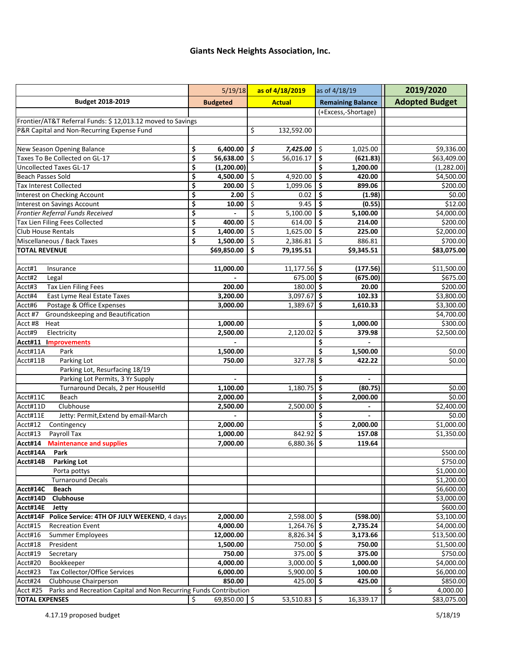## **Giants Neck Heights Association, Inc.**

|                                                                               | 5/19/18              | as of 4/18/2019                                 | as of 4/18/19                                 | 2019/2020             |
|-------------------------------------------------------------------------------|----------------------|-------------------------------------------------|-----------------------------------------------|-----------------------|
| Budget 2018-2019                                                              | <b>Budgeted</b>      | <b>Actual</b>                                   | <b>Remaining Balance</b>                      | <b>Adopted Budget</b> |
|                                                                               |                      |                                                 | (+Excess,-Shortage)                           |                       |
| Frontier/AT&T Referral Funds: \$12,013.12 moved to Savings                    |                      |                                                 |                                               |                       |
| P&R Capital and Non-Recurring Expense Fund                                    |                      | \$<br>132,592.00                                |                                               |                       |
|                                                                               |                      |                                                 |                                               |                       |
| New Season Opening Balance                                                    | 6,400.00<br>\$       | \$<br>7,425.00                                  | \$<br>1,025.00                                | \$9,336.00            |
| Taxes To Be Collected on GL-17                                                | \$<br>56,638.00      | \$<br>56,016.17                                 | \$<br>(621.83)                                | \$63,409.00           |
| <b>Uncollected Taxes GL-17</b>                                                | \$<br>(1, 200.00)    |                                                 | \$<br>1,200.00                                | (1,282.00)            |
| <b>Beach Passes Sold</b>                                                      | \$<br>4,500.00       | \$<br>4,920.00                                  | $\overline{\boldsymbol{\zeta}}$<br>420.00     | \$4,500.00            |
| <b>Tax Interest Collected</b>                                                 | \$<br>200.00         | $\overline{\boldsymbol{\varsigma}}$<br>1,099.06 | \$<br>899.06                                  | \$200.00              |
| Interest on Checking Account                                                  | \$<br>2.00           | $\overline{\varsigma}$<br>0.02                  | $\overline{\boldsymbol{\zeta}}$<br>(1.98)     | \$0.00                |
| Interest on Savings Account                                                   | \$<br>10.00          | \$<br>9.45                                      | \$<br>(0.55)                                  | \$12.00               |
| Frontier Referral Funds Received                                              | \$                   | \$<br>5,100.00                                  | \$.<br>5,100.00                               | \$4,000.00            |
| Tax Lien Filing Fees Collected                                                | \$<br>400.00         | \$<br>614.00                                    | \$<br>214.00                                  | \$200.00              |
| Club House Rentals                                                            | \$<br>1,400.00       | \$<br>1,625.00                                  | \$<br>225.00                                  | \$2,000.00            |
| Miscellaneous / Back Taxes                                                    | \$<br>1,500.00       | $\overline{\xi}$<br>2,386.81                    | \$<br>886.81                                  | \$700.00              |
| <b>TOTAL REVENUE</b>                                                          | \$69,850.00          | \$<br>79,195.51                                 | \$9,345.51                                    | \$83,075.00           |
|                                                                               |                      |                                                 |                                               |                       |
| Acct#1<br>Insurance                                                           | 11,000.00            | $11,177.56$ \$                                  | (177.56)                                      | \$11,500.00           |
| Acct#2<br>Legal                                                               |                      | 675.00 \$                                       | (675.00)                                      | \$675.00              |
| <b>Tax Lien Filing Fees</b><br>Acct#3                                         | 200.00               | $180.00$ \$                                     | 20.00                                         | \$200.00              |
| Acct#4<br>East Lyme Real Estate Taxes                                         | 3,200.00             | $3,097.67$ \$                                   | 102.33                                        | \$3,800.00            |
| Acct#6<br>Postage & Office Expenses                                           | 3,000.00             | $1,389.67$ \$                                   | 1,610.33                                      | \$3,300.00            |
| Groundskeeping and Beautification<br>Acct #7                                  |                      |                                                 |                                               | \$4,700.00            |
| Acct #8<br>Heat                                                               | 1,000.00             |                                                 | \$<br>1,000.00                                | \$300.00              |
| Acct#9<br>Electricity                                                         | 2,500.00             | 2,120.02                                        | $\overline{\boldsymbol{\zeta}}$<br>379.98     | \$2,500.00            |
| Acct#11<br><b>Improvements</b>                                                |                      |                                                 | \$                                            |                       |
| Acct#11A<br>Park                                                              | 1,500.00             |                                                 | \$<br>1,500.00                                | \$0.00                |
| Acct#11B<br>Parking Lot                                                       | 750.00               | 327.78                                          | $\overline{\boldsymbol{\zeta}}$<br>422.22     | \$0.00                |
| Parking Lot, Resurfacing 18/19                                                |                      |                                                 |                                               |                       |
| Parking Lot Permits, 3 Yr Supply                                              |                      |                                                 | \$                                            |                       |
| Turnaround Decals, 2 per HouseHld                                             | 1,100.00             | 1,180.75                                        | \$<br>(80.75)                                 | \$0.00                |
| Acct#11C<br>Beach                                                             | 2,000.00             |                                                 | \$<br>2,000.00                                | \$0.00                |
| Clubhouse<br>Acct#11D                                                         | 2,500.00             | 2,500.00                                        | \$                                            | \$2,400.00            |
| Acct#11E<br>Jetty: Permit, Extend by email-March                              |                      |                                                 | \$                                            | \$0.00                |
| Acct#12<br>Contingency                                                        | 2,000.00             |                                                 | \$<br>2,000.00                                | \$1,000.00            |
| Acct#13<br>Payroll Tax                                                        | 1,000.00             | 842.92                                          | $\overline{\boldsymbol{\varsigma}}$<br>157.08 | \$1,350.00            |
| Acct#14<br><b>Maintenance and supplies</b>                                    | 7,000.00             | 6,880.36                                        | $\overline{\boldsymbol{\zeta}}$<br>119.64     |                       |
| Acct#14A<br>Park                                                              |                      |                                                 |                                               | \$500.00              |
| Acct#14B<br><b>Parking Lot</b>                                                |                      |                                                 |                                               | \$750.00              |
| Porta pottys                                                                  |                      |                                                 |                                               | \$1,000.00]           |
| <b>Turnaround Decals</b>                                                      |                      |                                                 |                                               | \$1,200.00            |
| Beach<br>Acct#14C                                                             |                      |                                                 |                                               | \$6,600.00            |
| Clubhouse<br>Acct#14D                                                         |                      |                                                 |                                               | \$3,000.00            |
| Acct#14E<br>Jetty                                                             |                      |                                                 |                                               | \$600.00              |
| Acct#14F<br>Police Service: 4TH OF JULY WEEKEND, 4 days                       | 2,000.00             | $2,598.00$ \$                                   | (598.00)                                      | \$3,100.00            |
| Acct#15<br><b>Recreation Event</b>                                            | 4,000.00             | $1,264.76$ \$                                   | 2,735.24                                      | \$4,000.00            |
| Acct#16<br><b>Summer Employees</b>                                            | 12,000.00            | $8,826.34$ \$                                   | 3,173.66                                      | \$13,500.00           |
| Acct#18<br>President                                                          | 1,500.00             | $750.00$ \$                                     | 750.00                                        | \$1,500.00            |
| Acct#19<br>Secretary                                                          | 750.00               | $375.00$ \$                                     | 375.00                                        | \$750.00              |
| Acct#20<br>Bookkeeper                                                         | 4,000.00             | $3,000.00$ \$                                   | 1,000.00                                      | \$4,000.00            |
| Tax Collector/Office Services<br>Acct#23                                      | 6,000.00             | $5,900.00$ \$                                   | 100.00                                        | \$6,000.00            |
| Acct#24<br>Clubhouse Chairperson                                              | 850.00               | 425.00 \$                                       | 425.00                                        | \$850.00              |
| Parks and Recreation Capital and Non Recurring Funds Contribution<br>Acct #25 |                      |                                                 |                                               | \$<br>4,000.00        |
| <b>TOTAL EXPENSES</b>                                                         | \$<br>$69,850.00$ \$ | 53,510.83                                       | \$<br>16,339.17                               | \$83,075.00           |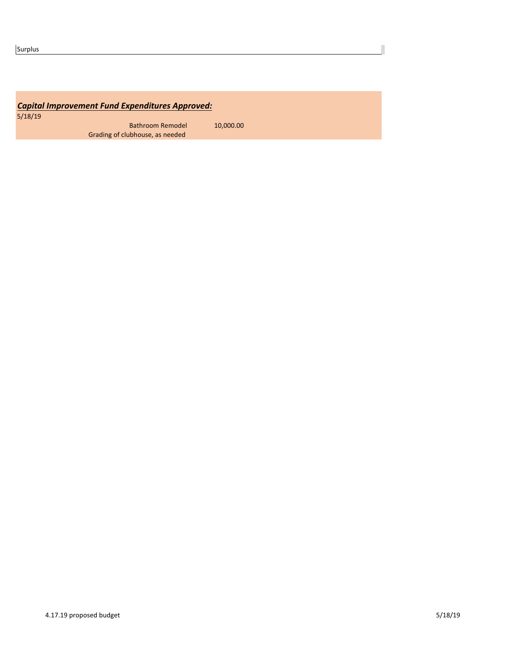## **Capital Improvement Fund Expenditures Approved:**

5/18/19

Bathroom Remodel **10,000.00** Grading of clubhouse, as needed

Г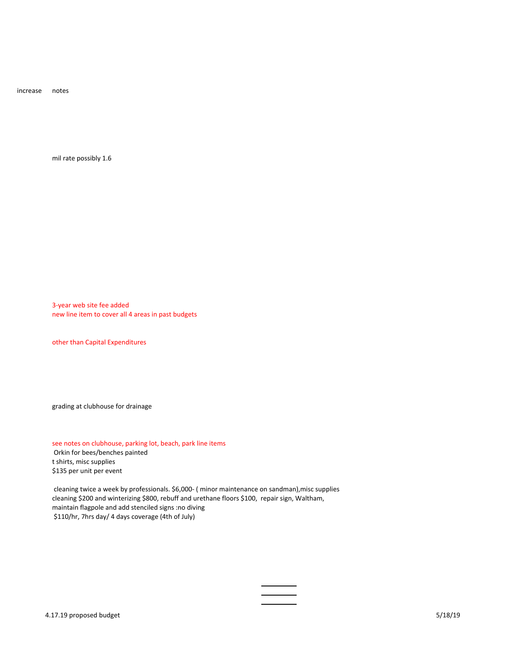increase notes

mil rate possibly 1.6

3-year web site fee added new line item to cover all 4 areas in past budgets

other than Capital Expenditures

grading at clubhouse for drainage

see notes on clubhouse, parking lot, beach, park line items Orkin for bees/benches painted t shirts, misc supplies \$135 per unit per event

cleaning twice a week by professionals. \$6,000- ( minor maintenance on sandman), misc supplies cleaning \$200 and winterizing \$800, rebuff and urethane floors \$100, repair sign, Waltham, maintain flagpole and add stenciled signs :no diving \$110/hr, 7hrs day/ 4 days coverage (4th of July)